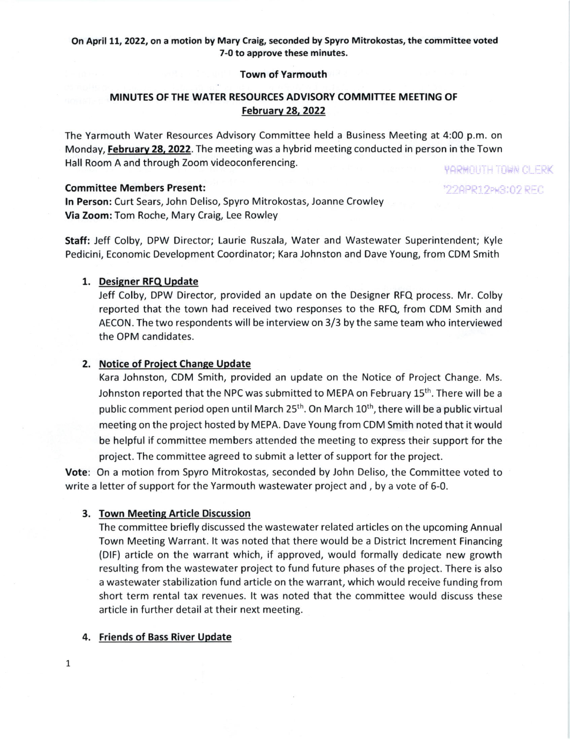### Town of Yarmouth

# MINUTES OF THE WATER RESOURCES ADVISORY COMMITTEE MEETING OF Februarv 28, 2022

The Yarmouth Water Resources Advisory Committee held a Business Meeting at 4:00 p.m. on Monday, February 28,2022. The meeting was a hybrid meeting conducted in person in the Town Hall Room A and through Zoom videoconferencing. *YARMOUTH TOWN CLERK* 

Committee Members Present:

ln Person: Curt Sears, John Deliso, Spyro Mitrokostas, Joanne Crowley Via Zoom: Tom Roche, Mary Craig, Lee Rowley

Staff: Jeff Colby, DPW Director; Laurie Ruszala, Water and Wastewater Superintendent; Kyle Pedicini, Economic Development Coordinator; Kara Johnston and Dave Young, from CDM Smith

## 1. Designer RFQ Update

Jeff Colby, DPW Director, provided an update on the Designer RFQ process. Mr. Colby reported that the town had received two responses to the RFQ, from CDM Smith and AECON. The two respondents will be interview on 3/3 by the same team who interviewed the OPM candidates.

## 2. Notice of Project Change Update

Kara Johnston, CDM Smith, provided an update on the Notice of Project Change. Ms. Johnston reported that the NPC was submitted to MEPA on February 15<sup>th</sup>. There will be a public comment period open until March  $25<sup>th</sup>$ . On March  $10<sup>th</sup>$ , there will be a public virtual meeting on the project hosted by MEPA. Dave Young from CDM Smith noted that it would be helpful if committee members attended the meeting to express their support for the project. The committee agreed to submit a letter of support for the project.

Vote: On a motion from Spyro Mitrokostas, seconded by John Deliso, the Committee voted to write a letter of support for the Yarmouth wastewater project and , by a vote of 6-0.

#### 3. Town Meetine Article Discussion

The committee briefly discussed the wastewater related articles on the upcoming Annual Town Meeting Warrant. lt was noted that there would be a District lncrement Financing (DlF) article on the warrant which, if approved, would formally dedicate new growth resulting from the wastewater project to fund future phases of the project. There is also a wastewater stabilization fund article on the warrant, which would receive funding from short term rental tax revenues. lt was noted that the committee would discuss these article in further detail at their next meeting.

# 4. Friends of Bass River Update

'22APR12PW3:02 REC